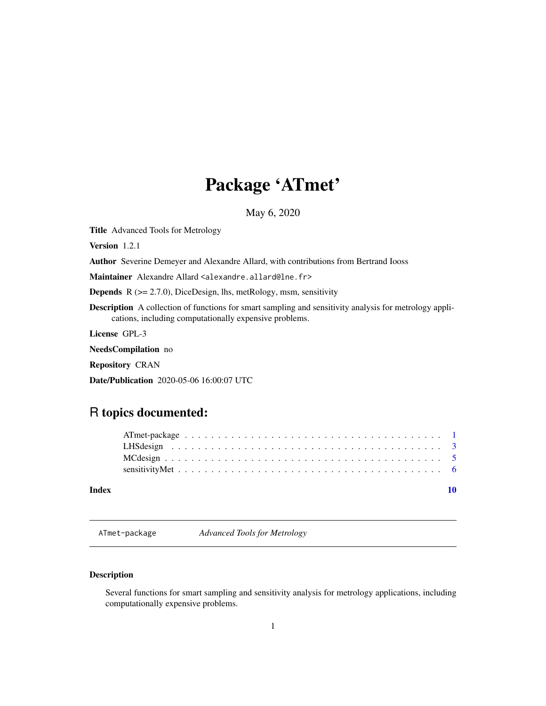## <span id="page-0-0"></span>Package 'ATmet'

May 6, 2020

<span id="page-0-1"></span>Title Advanced Tools for Metrology

Version 1.2.1

Author Severine Demeyer and Alexandre Allard, with contributions from Bertrand Iooss

Maintainer Alexandre Allard <alexandre.allard@lne.fr>

**Depends** R  $(>= 2.7.0)$ , DiceDesign, lhs, metRology, msm, sensitivity

Description A collection of functions for smart sampling and sensitivity analysis for metrology applications, including computationally expensive problems.

License GPL-3

NeedsCompilation no

Repository CRAN

Date/Publication 2020-05-06 16:00:07 UTC

### R topics documented:

| Index |  |  |  |  |  |  |  |  |  |  |  |  |  |  |  |  |  |  |
|-------|--|--|--|--|--|--|--|--|--|--|--|--|--|--|--|--|--|--|

ATmet-package *Advanced Tools for Metrology*

#### Description

Several functions for smart sampling and sensitivity analysis for metrology applications, including computationally expensive problems.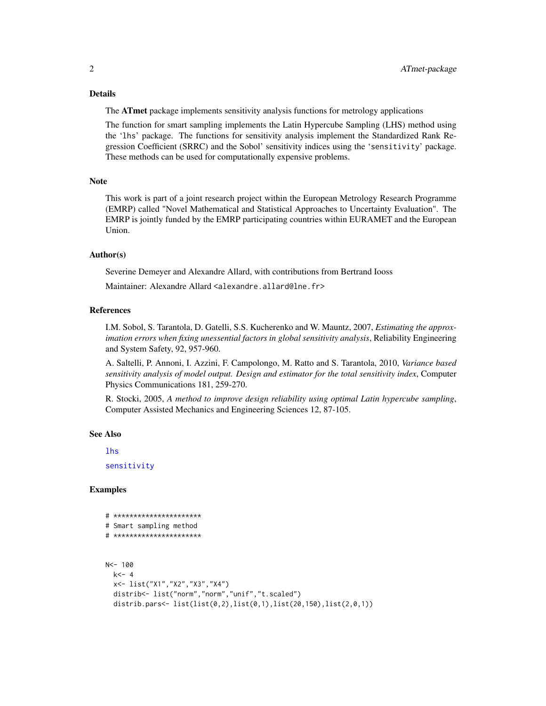#### <span id="page-1-0"></span>Details

The **ATmet** package implements sensitivity analysis functions for metrology applications

The function for smart sampling implements the Latin Hypercube Sampling (LHS) method using the 'lhs' package. The functions for sensitivity analysis implement the Standardized Rank Regression Coefficient (SRRC) and the Sobol' sensitivity indices using the 'sensitivity' package. These methods can be used for computationally expensive problems.

#### **Note**

This work is part of a joint research project within the European Metrology Research Programme (EMRP) called "Novel Mathematical and Statistical Approaches to Uncertainty Evaluation". The EMRP is jointly funded by the EMRP participating countries within EURAMET and the European Union.

#### Author(s)

Severine Demeyer and Alexandre Allard, with contributions from Bertrand Iooss

Maintainer: Alexandre Allard <alexandre.allard@lne.fr>

#### References

I.M. Sobol, S. Tarantola, D. Gatelli, S.S. Kucherenko and W. Mauntz, 2007, *Estimating the approximation errors when fixing unessential factors in global sensitivity analysis*, Reliability Engineering and System Safety, 92, 957-960.

A. Saltelli, P. Annoni, I. Azzini, F. Campolongo, M. Ratto and S. Tarantola, 2010, *Variance based sensitivity analysis of model output. Design and estimator for the total sensitivity index*, Computer Physics Communications 181, 259-270.

R. Stocki, 2005, *A method to improve design reliability using optimal Latin hypercube sampling*, Computer Assisted Mechanics and Engineering Sciences 12, 87-105.

#### See Also

[lhs](#page-0-1)

[sensitivity](#page-0-1)

#### Examples

```
# **********************
# Smart sampling method
# **********************
N<- 100
 k < - 4x<- list("X1","X2","X3","X4")
 distrib<- list("norm","norm","unif","t.scaled")
 distrib.pars<- list(list(0,2),list(0,1),list(20,150),list(2,0,1))
```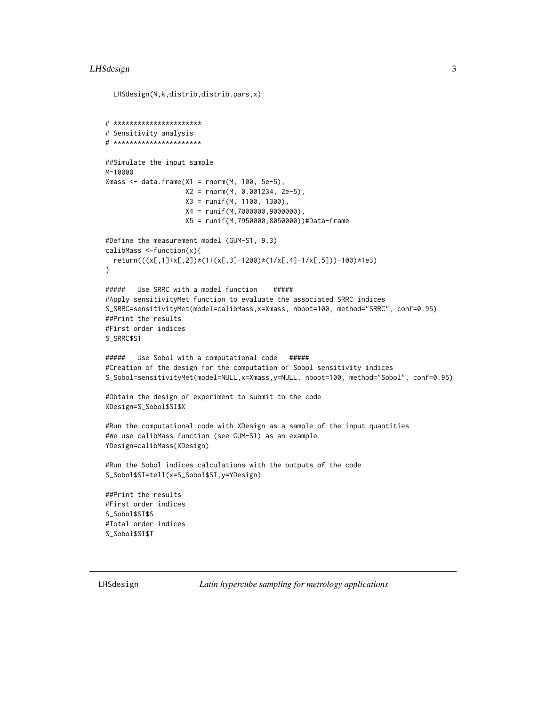#### <span id="page-2-0"></span>LHSdesign 3

```
LHSdesign(N,k,distrib,distrib.pars,x)
# **********************
# Sensitivity analysis
# **********************
##Simulate the input sample
M=10000
Xmass <- data.frame(X1 = \text{rnorm}(M, 100, 5e-5),
                    X2 = rnorm(M, 0.001234, 2e-5),
                    X3 = runif(M, 1100, 1300),
                    X4 = runif(M,7000000,9000000),
                    X5 = runif(M,7950000,8050000))#Data-frame
#Define the measurement model (GUM-S1, 9.3)
calibMass <-function(x){
 return(((x[,1]+x[,2])*(1+(x[,3]-1200)*(1/x[,4]-1/x[,5]))-100)*1e3)
}
##### Use SRRC with a model function #####
#Apply sensitivityMet function to evaluate the associated SRRC indices
S_SRRC=sensitivityMet(model=calibMass,x=Xmass, nboot=100, method="SRRC", conf=0.95)
##Print the results
#First order indices
S_SRRC$S1
##### Use Sobol with a computational code #####
#Creation of the design for the computation of Sobol sensitivity indices
S_Sobol=sensitivityMet(model=NULL,x=Xmass,y=NULL, nboot=100, method="Sobol", conf=0.95)
#Obtain the design of experiment to submit to the code
XDesign=S_Sobol$SI$X
#Run the computational code with XDesign as a sample of the input quantities
#We use calibMass function (see GUM-S1) as an example
YDesign=calibMass(XDesign)
#Run the Sobol indices calculations with the outputs of the code
S_Sobol$SI=tell(x=S_Sobol$SI,y=YDesign)
##Print the results
#First order indices
S_Sobol$SI$S
#Total order indices
S_Sobol$SI$T
```
LHSdesign *Latin hypercube sampling for metrology applications*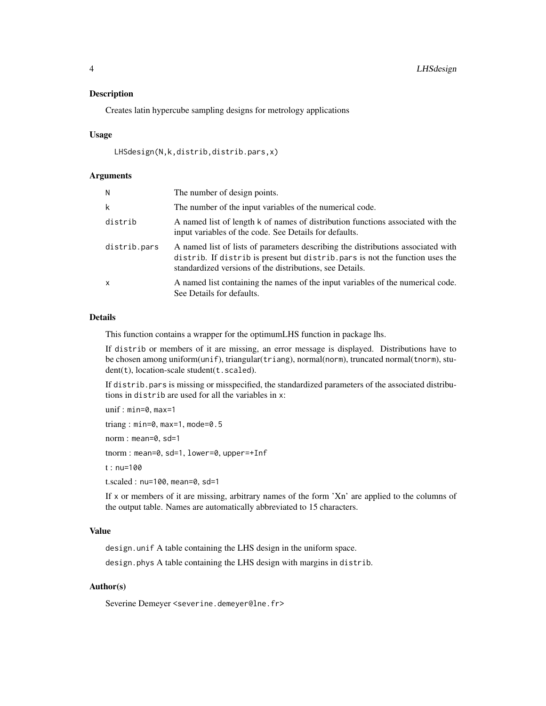#### Description

Creates latin hypercube sampling designs for metrology applications

#### Usage

```
LHSdesign(N,k,distrib,distrib.pars,x)
```
#### Arguments

| N            | The number of design points.                                                                                                                                                                                                  |
|--------------|-------------------------------------------------------------------------------------------------------------------------------------------------------------------------------------------------------------------------------|
| k            | The number of the input variables of the numerical code.                                                                                                                                                                      |
| distrib      | A named list of length k of names of distribution functions associated with the<br>input variables of the code. See Details for defaults.                                                                                     |
| distrib.pars | A named list of lists of parameters describing the distributions associated with<br>distrib. If distrib is present but distrib. pars is not the function uses the<br>standardized versions of the distributions, see Details. |
| $\mathsf{x}$ | A named list containing the names of the input variables of the numerical code.<br>See Details for defaults.                                                                                                                  |

#### Details

This function contains a wrapper for the optimumLHS function in package lhs.

If distrib or members of it are missing, an error message is displayed. Distributions have to be chosen among uniform(unif), triangular(triang), normal(norm), truncated normal(tnorm), student(t), location-scale student(t.scaled).

If distrib.pars is missing or misspecified, the standardized parameters of the associated distributions in distrib are used for all the variables in x:

```
unif : min=0, max=1
triang : min=0, max=1, mode=0.5
norm : mean=0, sd=1
tnorm : mean=0, sd=1, lower=0, upper=+Inf
t : nu=100
t.scaled : nu=100, mean=0, sd=1
```
If x or members of it are missing, arbitrary names of the form 'Xn' are applied to the columns of the output table. Names are automatically abbreviated to 15 characters.

#### Value

design.unif A table containing the LHS design in the uniform space.

design.phys A table containing the LHS design with margins in distrib.

#### Author(s)

Severine Demeyer <severine.demeyer@lne.fr>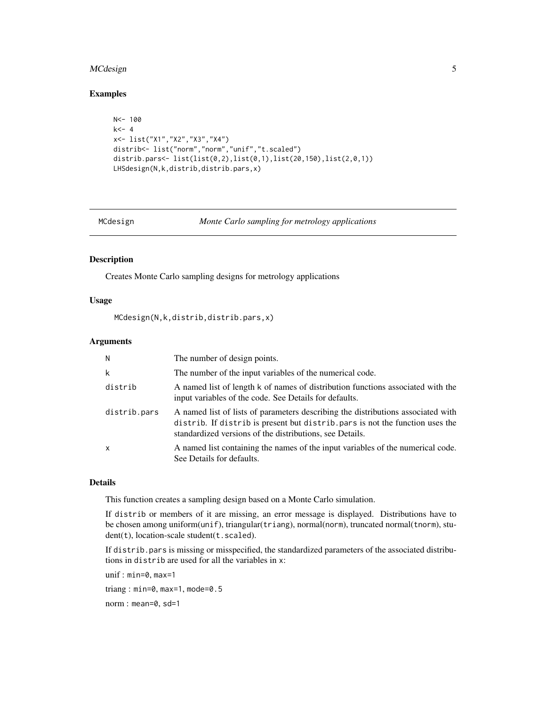#### <span id="page-4-0"></span>MCdesign 5

#### Examples

```
N<- 100
k < - 4x<- list("X1","X2","X3","X4")
distrib<- list("norm","norm","unif","t.scaled")
distrib.pars<- list(list(0,2),list(0,1),list(20,150),list(2,0,1))
LHSdesign(N,k,distrib,distrib.pars,x)
```
MCdesign *Monte Carlo sampling for metrology applications*

#### Description

Creates Monte Carlo sampling designs for metrology applications

#### Usage

MCdesign(N,k,distrib,distrib.pars,x)

#### Arguments

| N            | The number of design points.                                                                                                                                                                                                  |
|--------------|-------------------------------------------------------------------------------------------------------------------------------------------------------------------------------------------------------------------------------|
| k            | The number of the input variables of the numerical code.                                                                                                                                                                      |
| distrib      | A named list of length k of names of distribution functions associated with the<br>input variables of the code. See Details for defaults.                                                                                     |
| distrib.pars | A named list of lists of parameters describing the distributions associated with<br>distrib. If distrib is present but distrib. pars is not the function uses the<br>standardized versions of the distributions, see Details. |
| $\mathsf{x}$ | A named list containing the names of the input variables of the numerical code.<br>See Details for defaults.                                                                                                                  |

#### Details

This function creates a sampling design based on a Monte Carlo simulation.

If distrib or members of it are missing, an error message is displayed. Distributions have to be chosen among uniform(unif), triangular(triang), normal(norm), truncated normal(tnorm), student(t), location-scale student(t.scaled).

If distrib.pars is missing or misspecified, the standardized parameters of the associated distributions in distrib are used for all the variables in x:

unif : min=0, max=1

triang : min=0, max=1, mode=0.5

norm : mean=0, sd=1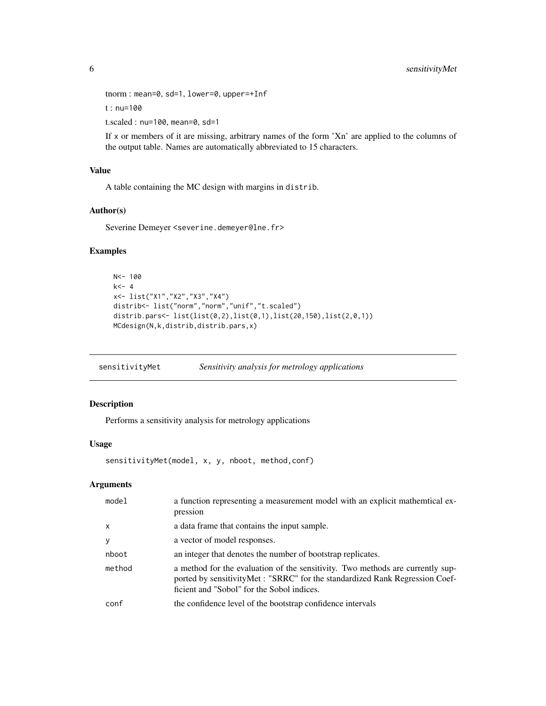```
tnorm : mean=0, sd=1, lower=0, upper=+Inf
```
t : nu=100

t.scaled : nu=100, mean=0, sd=1

If x or members of it are missing, arbitrary names of the form 'Xn' are applied to the columns of the output table. Names are automatically abbreviated to 15 characters.

#### Value

A table containing the MC design with margins in distrib.

#### Author(s)

Severine Demeyer <severine.demeyer@lne.fr>

#### Examples

```
N < - 100k<-4x<- list("X1","X2","X3","X4")
distrib<- list("norm","norm","unif","t.scaled")
distrib.pars<- list(list(0,2),list(0,1),list(20,150),list(2,0,1))
MCdesign(N,k,distrib,distrib.pars,x)
```
sensitivityMet *Sensitivity analysis for metrology applications* 

#### Description

Performs a sensitivity analysis for metrology applications

#### Usage

```
sensitivityMet(model, x, y, nboot, method,conf)
```
#### Arguments

| model        | a function representing a measurement model with an explicit mathemtical ex-<br>pression                                                                                                                     |
|--------------|--------------------------------------------------------------------------------------------------------------------------------------------------------------------------------------------------------------|
| $\mathsf{x}$ | a data frame that contains the input sample.                                                                                                                                                                 |
| y            | a vector of model responses.                                                                                                                                                                                 |
| nboot        | an integer that denotes the number of bootstrap replicates.                                                                                                                                                  |
| method       | a method for the evaluation of the sensitivity. Two methods are currently sup-<br>ported by sensitivityMet : "SRRC" for the standardized Rank Regression Coef-<br>ficient and "Sobol" for the Sobol indices. |
| conf         | the confidence level of the bootstrap confidence intervals                                                                                                                                                   |

<span id="page-5-0"></span>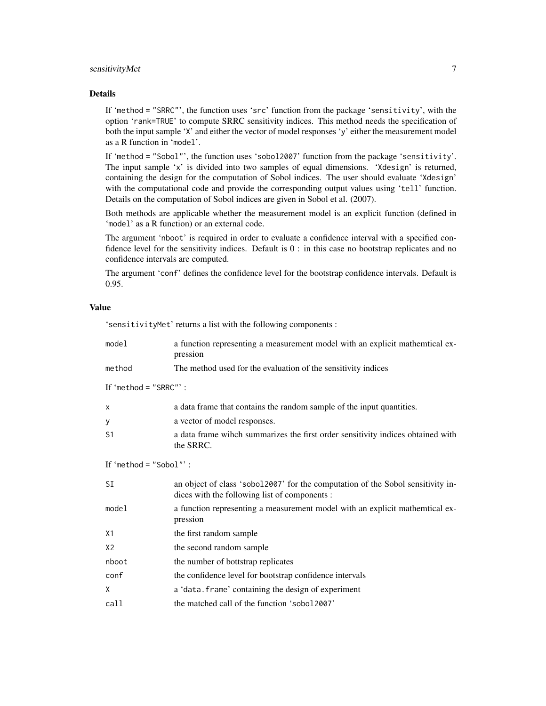#### sensitivityMet 7

#### Details

If 'method = "SRRC"', the function uses 'src' function from the package 'sensitivity', with the option 'rank=TRUE' to compute SRRC sensitivity indices. This method needs the specification of both the input sample 'X' and either the vector of model responses 'y' either the measurement model as a R function in 'model'.

If 'method = "Sobol"', the function uses 'sobol2007' function from the package 'sensitivity'. The input sample 'x' is divided into two samples of equal dimensions. 'Xdesign' is returned, containing the design for the computation of Sobol indices. The user should evaluate 'Xdesign' with the computational code and provide the corresponding output values using 'tell' function. Details on the computation of Sobol indices are given in Sobol et al. (2007).

Both methods are applicable whether the measurement model is an explicit function (defined in 'model' as a R function) or an external code.

The argument 'nboot' is required in order to evaluate a confidence interval with a specified confidence level for the sensitivity indices. Default is 0 : in this case no bootstrap replicates and no confidence intervals are computed.

The argument 'conf' defines the confidence level for the bootstrap confidence intervals. Default is 0.95.

#### Value

'sensitivityMet' returns a list with the following components :

| model                    | a function representing a measurement model with an explicit mathemtical ex-<br>pression                                         |
|--------------------------|----------------------------------------------------------------------------------------------------------------------------------|
| method                   | The method used for the evaluation of the sensitivity indices                                                                    |
| If 'method = "SRRC"':    |                                                                                                                                  |
| $\times$                 | a data frame that contains the random sample of the input quantities.                                                            |
| У                        | a vector of model responses.                                                                                                     |
| S <sub>1</sub>           | a data frame wihch summarizes the first order sensitivity indices obtained with<br>the SRRC.                                     |
| If 'method = $"Sobol"$ : |                                                                                                                                  |
| SI                       | an object of class 'sobol2007' for the computation of the Sobol sensitivity in-<br>dices with the following list of components : |
| model                    | a function representing a measurement model with an explicit mathemtical ex-<br>pression                                         |
| X1                       | the first random sample                                                                                                          |
| X <sub>2</sub>           | the second random sample                                                                                                         |
| nboot                    | the number of bottstrap replicates                                                                                               |
| conf                     | the confidence level for bootstrap confidence intervals                                                                          |
| X                        | a 'data. frame' containing the design of experiment                                                                              |
| call                     | the matched call of the function 'sobol2007'                                                                                     |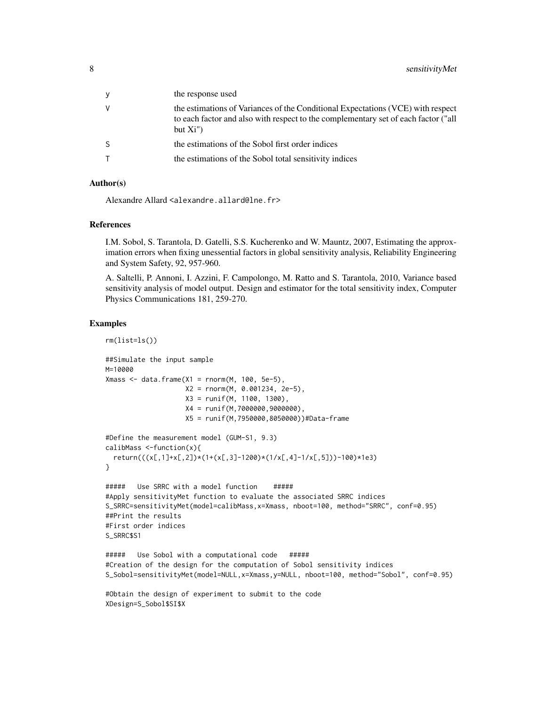| the response used                                                                                                                                                                  |
|------------------------------------------------------------------------------------------------------------------------------------------------------------------------------------|
| the estimations of Variances of the Conditional Expectations (VCE) with respect<br>to each factor and also with respect to the complementary set of each factor ("all<br>but $Xi'$ |
| the estimations of the Sobol first order indices                                                                                                                                   |
| the estimations of the Sobol total sensitivity indices                                                                                                                             |

#### Author(s)

Alexandre Allard <alexandre.allard@lne.fr>

#### References

I.M. Sobol, S. Tarantola, D. Gatelli, S.S. Kucherenko and W. Mauntz, 2007, Estimating the approximation errors when fixing unessential factors in global sensitivity analysis, Reliability Engineering and System Safety, 92, 957-960.

A. Saltelli, P. Annoni, I. Azzini, F. Campolongo, M. Ratto and S. Tarantola, 2010, Variance based sensitivity analysis of model output. Design and estimator for the total sensitivity index, Computer Physics Communications 181, 259-270.

#### Examples

```
rm(list=ls())
##Simulate the input sample
M=10000
Xmass \leq data.frame(X1 = rnorm(M, 100, 5e-5),
                    X2 = rnorm(M, 0.001234, 2e-5),
                    X3 = runif(M, 1100, 1300),
                    X4 = runif(M,7000000,9000000),
                    X5 = runif(M,7950000,8050000))#Data-frame
#Define the measurement model (GUM-S1, 9.3)
calibMass <-function(x){
  return(((x[,1]+x[,2])*(1+(x[,3]-1200)*(1/x[,4]-1/x[,5]))-100)*1e3)
}
##### Use SRRC with a model function #####
#Apply sensitivityMet function to evaluate the associated SRRC indices
S_SRRC=sensitivityMet(model=calibMass,x=Xmass, nboot=100, method="SRRC", conf=0.95)
##Print the results
#First order indices
S_SRRC$S1
##### Use Sobol with a computational code #####
#Creation of the design for the computation of Sobol sensitivity indices
S_Sobol=sensitivityMet(model=NULL,x=Xmass,y=NULL, nboot=100, method="Sobol", conf=0.95)
#Obtain the design of experiment to submit to the code
XDesign=S_Sobol$SI$X
```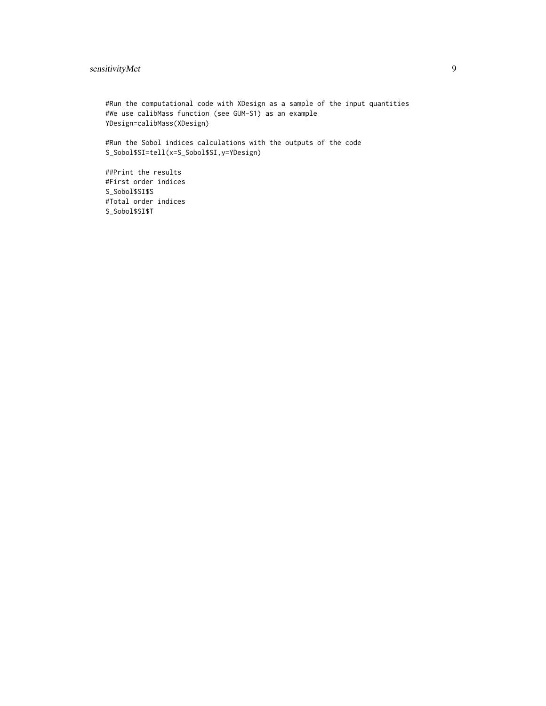#### sensitivityMet 9

#Run the computational code with XDesign as a sample of the input quantities #We use calibMass function (see GUM-S1) as an example YDesign=calibMass(XDesign)

#Run the Sobol indices calculations with the outputs of the code S\_Sobol\$SI=tell(x=S\_Sobol\$SI,y=YDesign)

##Print the results #First order indices S\_Sobol\$SI\$S #Total order indices S\_Sobol\$SI\$T